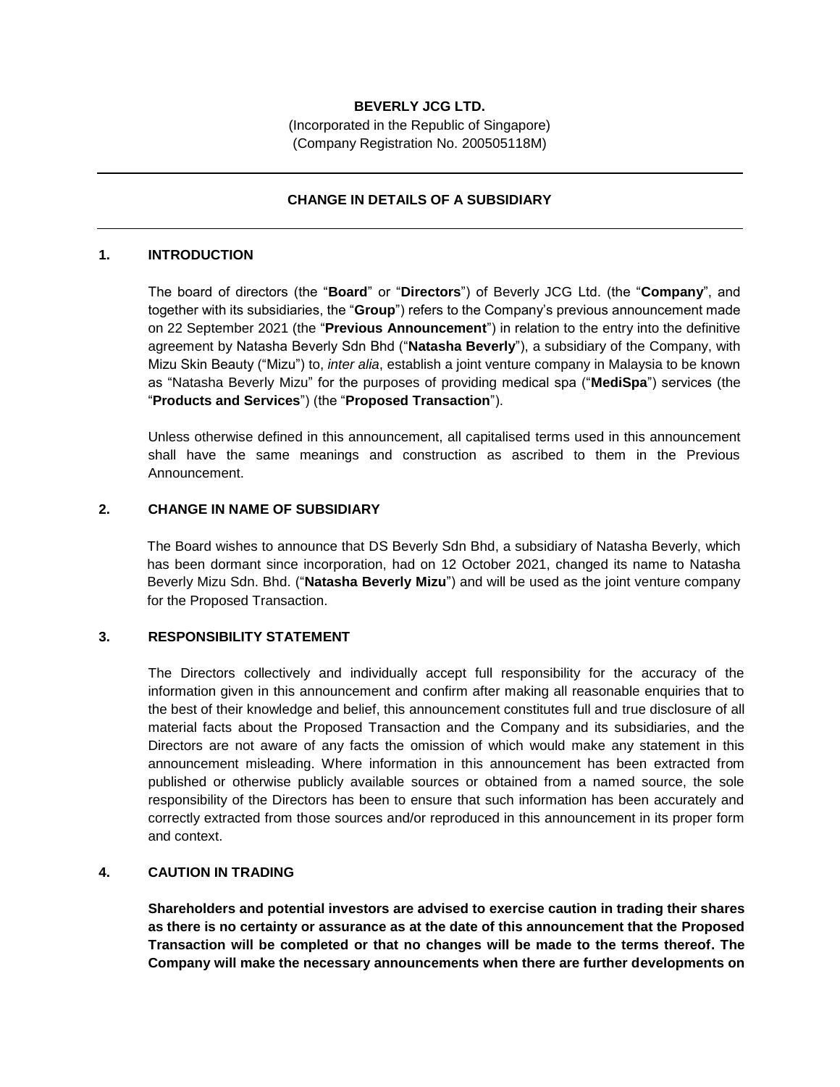# **BEVERLY JCG LTD.**

(Incorporated in the Republic of Singapore) (Company Registration No. 200505118M)

### **CHANGE IN DETAILS OF A SUBSIDIARY**

#### **1. INTRODUCTION**

The board of directors (the "**Board**" or "**Directors**") of Beverly JCG Ltd. (the "**Company**", and together with its subsidiaries, the "**Group**") refers to the Company's previous announcement made on 22 September 2021 (the "**Previous Announcement**") in relation to the entry into the definitive agreement by Natasha Beverly Sdn Bhd ("**Natasha Beverly**"), a subsidiary of the Company, with Mizu Skin Beauty ("Mizu") to, *inter alia*, establish a joint venture company in Malaysia to be known as "Natasha Beverly Mizu" for the purposes of providing medical spa ("**MediSpa**") services (the "**Products and Services**") (the "**Proposed Transaction**").

Unless otherwise defined in this announcement, all capitalised terms used in this announcement shall have the same meanings and construction as ascribed to them in the Previous Announcement.

### **2. CHANGE IN NAME OF SUBSIDIARY**

The Board wishes to announce that DS Beverly Sdn Bhd, a subsidiary of Natasha Beverly, which has been dormant since incorporation, had on 12 October 2021, changed its name to Natasha Beverly Mizu Sdn. Bhd. ("**Natasha Beverly Mizu**") and will be used as the joint venture company for the Proposed Transaction.

### **3. RESPONSIBILITY STATEMENT**

The Directors collectively and individually accept full responsibility for the accuracy of the information given in this announcement and confirm after making all reasonable enquiries that to the best of their knowledge and belief, this announcement constitutes full and true disclosure of all material facts about the Proposed Transaction and the Company and its subsidiaries, and the Directors are not aware of any facts the omission of which would make any statement in this announcement misleading. Where information in this announcement has been extracted from published or otherwise publicly available sources or obtained from a named source, the sole responsibility of the Directors has been to ensure that such information has been accurately and correctly extracted from those sources and/or reproduced in this announcement in its proper form and context.

# **4. CAUTION IN TRADING**

**Shareholders and potential investors are advised to exercise caution in trading their shares as there is no certainty or assurance as at the date of this announcement that the Proposed Transaction will be completed or that no changes will be made to the terms thereof. The Company will make the necessary announcements when there are further developments on**